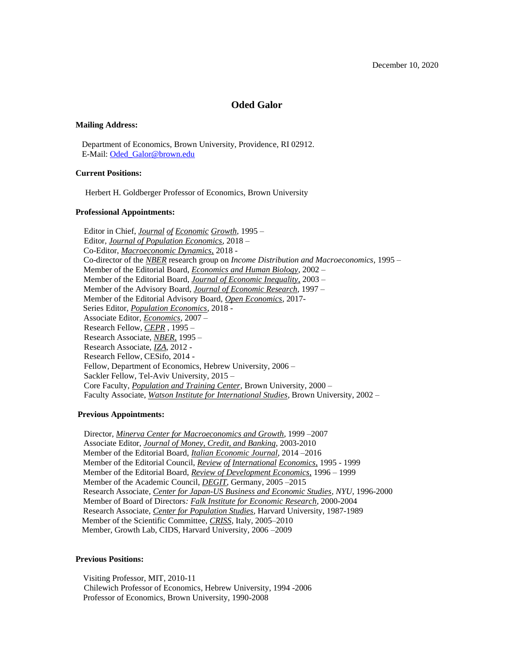## **Oded Galor**

#### **Mailing Address:**

 Department of Economics, Brown University, Providence, RI 02912. E-Mail: [Oded\\_Galor@brown.edu](mailto:Oded_Galor@brown.edu)

#### **Current Positions:**

Herbert H. Goldberger Professor of Economics, Brown University

#### **Professional Appointments:**

 Editor in Chief, *Journal of Economic Growth,* 1995 – Editor, *Journal of Population Economics*, 2018 – Co-Editor, *Macroeconomic Dynamics,* 2018 - Co-director of the *NBER* research group on *Income Distribution and Macroeconomics,* 1995 – Member of the Editorial Board, *Economics and Human Biology*, 2002 – Member of the Editorial Board, *Journal of Economic Inequality,* 2003 – Member of the Advisory Board, *Journal of Economic Research*, 1997 – Member of the Editorial Advisory Board, *Open Economics*, 2017- Series Editor, *Population Economics*, 2018 - Associate Editor, *Economics*, 2007 – Research Fellow, *CEPR* , 1995 – Research Associate, *NBER,* 1995 – Research Associate, *IZA*, 2012 - Research Fellow, CESifo, 2014 - Fellow, Department of Economics, Hebrew University, 2006 – Sackler Fellow, Tel-Aviv University, 2015 – Core Faculty, *Population and Training Center*, Brown University, 2000 – Faculty Associate, *Watson Institute for International Studies*, Brown University, 2002 –

#### **Previous Appointments:**

 Director, *Minerva Center for Macroeconomics and Growth*, 1999 –2007 Associate Editor, *Journal of Money, Credit, and Banking*, 2003-2010 Member of the Editorial Board, *Italian Economic Journal*, 2014 –2016 Member of the Editorial Council, *Review of International Economics,* 1995 - 1999 Member of the Editorial Board, *Review of Development Economics,* 1996 – 1999 Member of the Academic Council, *DEGIT,* Germany*,* 2005 –2015 Research Associate*, Center for Japan-US Business and Economic Studies, NYU,* 1996-2000 Member of Board of Directors*: Falk Institute for Economic Research,* 2000-2004 Research Associate, *Center for Population Studies*, Harvard University, 1987-1989 Member of the Scientific Committee, *CRISS*, Italy, 2005–2010 Member, Growth Lab, CIDS, Harvard University, 2006 –2009

#### **Previous Positions:**

Visiting Professor, MIT, 2010-11 Chilewich Professor of Economics, Hebrew University, 1994 -2006 Professor of Economics, Brown University, 1990-2008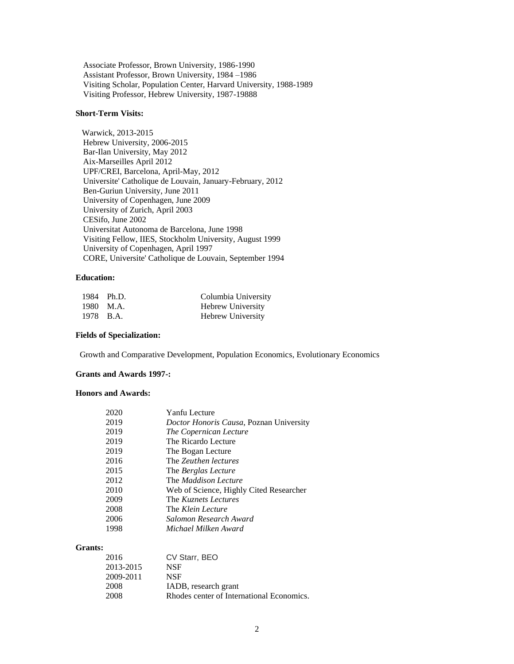Associate Professor, Brown University, 1986-1990 Assistant Professor, Brown University, 1984 –1986 Visiting Scholar, Population Center, Harvard University, 1988-1989 Visiting Professor, Hebrew University, 1987-19888

## **Short-Term Visits:**

 Warwick, 2013-2015 Hebrew University, 2006-2015 Bar-Ilan University, May 2012 Aix-Marseilles April 2012 UPF/CREI, Barcelona, April-May, 2012 Universite' Catholique de Louvain, January-February, 2012 Ben-Guriun University, June 2011 University of Copenhagen, June 2009 University of Zurich, April 2003 CESifo, June 2002 Universitat Autonoma de Barcelona, June 1998 Visiting Fellow, IIES, Stockholm University, August 1999 University of Copenhagen, April 1997 CORE, Universite' Catholique de Louvain, September 1994

## **Education:**

| 1984 Ph.D. | Columbia University |
|------------|---------------------|
| 1980 M.A.  | Hebrew University   |
| 1978 B.A.  | Hebrew University   |

#### **Fields of Specialization:**

Growth and Comparative Development, Population Economics, Evolutionary Economics

#### **Grants and Awards 1997-:**

#### **Honors and Awards:**

| 2020 | Yanfu Lecture                           |
|------|-----------------------------------------|
| 2019 | Doctor Honoris Causa, Poznan University |
| 2019 | The Copernican Lecture                  |
| 2019 | The Ricardo Lecture                     |
| 2019 | The Bogan Lecture                       |
| 2016 | The Zeuthen lectures                    |
| 2015 | The <i>Berglas Lecture</i>              |
| 2012 | The <i>Maddison Lecture</i>             |
| 2010 | Web of Science, Highly Cited Researcher |
| 2009 | The <i>Kuznets Lectures</i>             |
| 2008 | The Klein Lecture                       |
| 2006 | Salomon Research Award                  |
| 1998 | Michael Milken Award                    |

#### **Grants:**

| 2016      | CV Starr, BEO                             |
|-----------|-------------------------------------------|
| 2013-2015 | <b>NSF</b>                                |
| 2009-2011 | <b>NSF</b>                                |
| 2008      | IADB, research grant                      |
| 2008      | Rhodes center of International Economics. |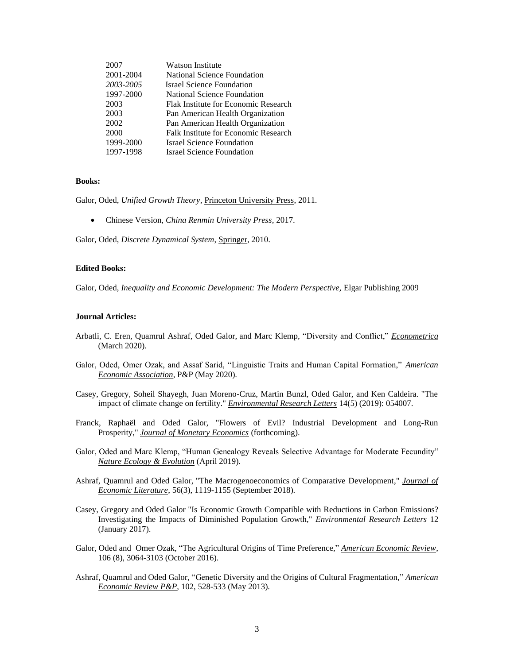| 2007      | Watson Institute                     |
|-----------|--------------------------------------|
| 2001-2004 | <b>National Science Foundation</b>   |
| 2003-2005 | <b>Israel Science Foundation</b>     |
| 1997-2000 | National Science Foundation          |
| 2003      | Flak Institute for Economic Research |
| 2003      | Pan American Health Organization     |
| 2002      | Pan American Health Organization     |
| 2000      | Falk Institute for Economic Research |
| 1999-2000 | <b>Israel Science Foundation</b>     |
| 1997-1998 | <b>Israel Science Foundation</b>     |

#### **Books:**

Galor, Oded, *Unified Growth Theory*, *Princeton University Press*, 2011.

• Chinese Version, *China Renmin University Press*, 2017.

Galor, Oded, *Discrete Dynamical System*, Springer, 2010.

## **Edited Books:**

Galor, Oded, *Inequality and Economic Development: The Modern Perspective,* Elgar Publishing 2009

#### **Journal Articles:**

- Arbatli, C. Eren, Quamrul Ashraf, Oded Galor, and Marc Klemp, "Diversity and Conflict," *Econometrica* (March 2020).
- Galor, Oded, Omer Ozak, and Assaf Sarid, "Linguistic Traits and Human Capital Formation," *American Economic Association*, P&P (May 2020).
- Casey, Gregory, Soheil Shayegh, Juan Moreno-Cruz, Martin Bunzl, Oded Galor, and Ken Caldeira. "The impact of climate change on fertility." *Environmental Research Letters* 14(5) (2019): 054007.
- Franck, Raphaël and Oded Galor, ["Flowers of Evil? Industrial Development and Long-Run](https://ideas.repec.org/p/nbr/nberwo/23701.html)  [Prosperity,](https://ideas.repec.org/p/nbr/nberwo/23701.html)" *Journal of Monetary Economics* (forthcoming).
- Galor, Oded and Marc Klemp, "Human Genealogy Reveals Selective Advantage for Moderate Fecundity" *Nature Ecology & Evolution* (April 2019).
- Ashraf, Quamrul and Oded Galor, ["The Macrogenoeconomics of Comparative Development,"](https://ideas.repec.org/p/wil/wileco/2016-02.html) *Journal of Economic Literature*, 56(3), 1119-1155 (September 2018).
- Casey, Gregory and Oded Galor "Is Economic Growth Compatible with Reductions in Carbon Emissions? Investigating the Impacts of Diminished Population Growth," *Environmental Research Letters* 12 (January 2017).
- Galor, Oded and Omer Ozak, "The Agricultural Origins of Time Preference," *American Economic Review*, 106 (8), 3064-3103 (October 2016).
- Ashraf, Quamrul and Oded Galor, "Genetic Diversity and the Origins of Cultural Fragmentation," *American Economic Review P&P*, 102, 528-533 (May 2013).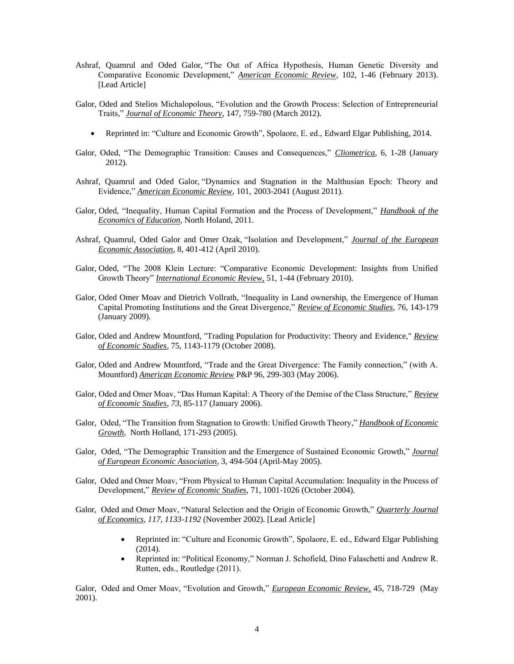- Ashraf, Quamrul and Oded Galor, "The Out of Africa Hypothesis, Human Genetic Diversity and Comparative Economic Development," *American Economic Review*, 102, 1-46 (February 2013). [Lead Article]
- Galor, Oded and Stelios Michalopolous, "Evolution and the Growth Process: Selection of Entrepreneurial Traits," *Journal of Economic Theory*, 147, 759-780 (March 2012).
	- Reprinted in: "Culture and Economic Growth", Spolaore, E. ed., Edward Elgar Publishing, 2014.
- Galor, Oded, "The Demographic Transition: Causes and Consequences," *Cliometrica*, 6, 1-28 (January 2012).
- Ashraf, Quamrul and Oded Galor, "Dynamics and Stagnation in the Malthusian Epoch: Theory and Evidence," *American Economic Review*, 101, 2003-2041 (August 2011).
- Galor, Oded, "Inequality, Human Capital Formation and the Process of Development," *Handbook of the Economics of Education*, North Holand, 2011.
- Ashraf, Quamrul, Oded Galor and Omer Ozak, "Isolation and Development," *Journal of the European Economic Association*, 8, 401-412 (April 2010).
- Galor, Oded, "The 2008 Klein Lecture: "Comparative Economic Development: Insights from Unified Growth Theory" *International Economic Review,* 51, 1-44 (February 2010).
- Galor, Oded Omer Moav and Dietrich Vollrath, "Inequality in Land ownership, the Emergence of Human Capital Promoting Institutions and the Great Divergence," *Review of Economic Studies*, 76, 143-179 (January 2009).
- Galor, Oded and Andrew Mountford, "Trading Population for Productivity: Theory and Evidence," *Review of Economic Studies*, 75, 1143-1179 (October 2008).
- Galor, Oded and Andrew Mountford, "Trade and the Great Divergence: The Family connection," (with A. Mountford) *American Economic Review* P&P 96, 299-303 (May 2006).
- Galor, Oded and Omer Moav, "Das Human Kapital: A Theory of the Demise of the Class Structure," *Review of Economic Studies*, *73,* 85-117 (January 2006).
- Galor, Oded, "The Transition from Stagnation to Growth: Unified Growth Theory," *Handbook of Economic Growth*, North Holland, 171-293 (2005).
- Galor, Oded, "The Demographic Transition and the Emergence of Sustained Economic Growth," *Journal of European Economic Association*, 3, 494-504 (April-May 2005).
- Galor, Oded and Omer Moav, "From Physical to Human Capital Accumulation: Inequality in the Process of Development," *Review of Economic Studies*, 71, 1001-1026 (October 2004).
- Galor, Oded and Omer Moav, "Natural Selection and the Origin of Economic Growth," *Quarterly Journal of Economics, 117, 1133-1192* (November 2002). [Lead Article]
	- Reprinted in: "Culture and Economic Growth", Spolaore, E. ed., Edward Elgar Publishing (2014).
	- Reprinted in: "Political Economy," Norman J. Schofield, Dino Falaschetti and Andrew R. Rutten, eds., Routledge (2011).

Galor, Oded and Omer Moav, "Evolution and Growth," *European Economic Review,* 45, 718-729 (May 2001).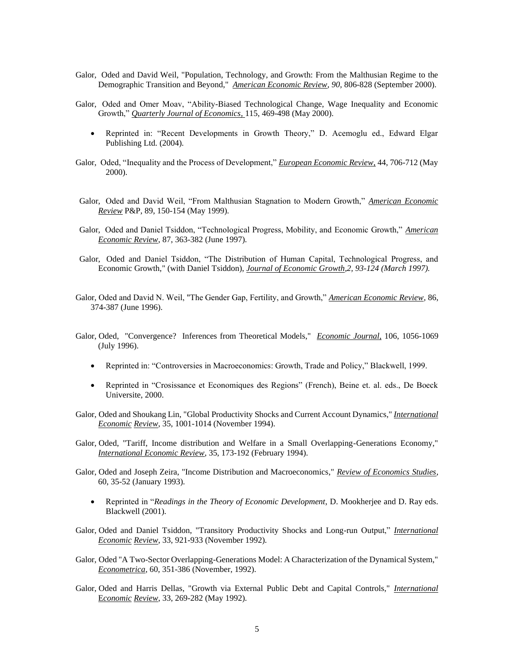- Galor, Oded and David Weil, "Population, Technology, and Growth: From the Malthusian Regime to the Demographic Transition and Beyond," *American Economic Review, 90,* 806-828 (September 2000).
- Galor, Oded and Omer Moav, "Ability-Biased Technological Change, Wage Inequality and Economic Growth," *Quarterly Journal of Economics,* 115, 469-498 (May 2000).
	- Reprinted in: "Recent Developments in Growth Theory," D. Acemoglu ed., Edward Elgar Publishing Ltd. (2004).
- Galor, Oded, "Inequality and the Process of Development," *European Economic Review,* 44, 706-712 (May 2000).
- Galor, Oded and David Weil, "From Malthusian Stagnation to Modern Growth," *American Economic Review* P&P, 89, 150-154 (May 1999).
- Galor, Oded and Daniel Tsiddon, "Technological Progress, Mobility, and Economic Growth," *American Economic Review*, 87, 363-382 (June 1997).
- Galor, Oded and Daniel Tsiddon, "The Distribution of Human Capital, Technological Progress, and Economic Growth," (with Daniel Tsiddon), *Journal of Economic Growth,2, 93-124 (March 1997).*
- Galor, Oded and David N. Weil, "The Gender Gap, Fertility, and Growth," *American Economic Review*, 86, 374-387 (June 1996).
- Galor, Oded, "Convergence? Inferences from Theoretical Models," *Economic Journal,* 106, 1056-1069 (July 1996).
	- Reprinted in: "Controversies in Macroeconomics: Growth, Trade and Policy," Blackwell, 1999.
	- Reprinted in "Crosissance et Economiques des Regions" (French), Beine et. al. eds., De Boeck Universite, 2000.
- Galor, Oded and Shoukang Lin, "Global Productivity Shocks and Current Account Dynamics," *International Economic Review*, 35, 1001-1014 (November 1994).
- Galor, Oded, "Tariff, Income distribution and Welfare in a Small Overlapping-Generations Economy," *International Economic Review*, 35, 173-192 (February 1994).
- Galor, Oded and Joseph Zeira, "Income Distribution and Macroeconomics," *Review of Economics Studies*, 60, 35-52 (January 1993).
	- Reprinted in "*Readings in the Theory of Economic Development*, D. Mookherjee and D. Ray eds. Blackwell (2001).
- Galor, Oded and Daniel Tsiddon, "Transitory Productivity Shocks and Long-run Output," *International Economic Review*, 33, 921-933 (November 1992).
- Galor, Oded "A Two-Sector Overlapping-Generations Model: A Characterization of the Dynamical System," *Econometrica*, 60, 351-386 (November, 1992).
- Galor, Oded and Harris Dellas, "Growth via External Public Debt and Capital Controls," *International*  E*conomic Review*, 33, 269-282 (May 1992).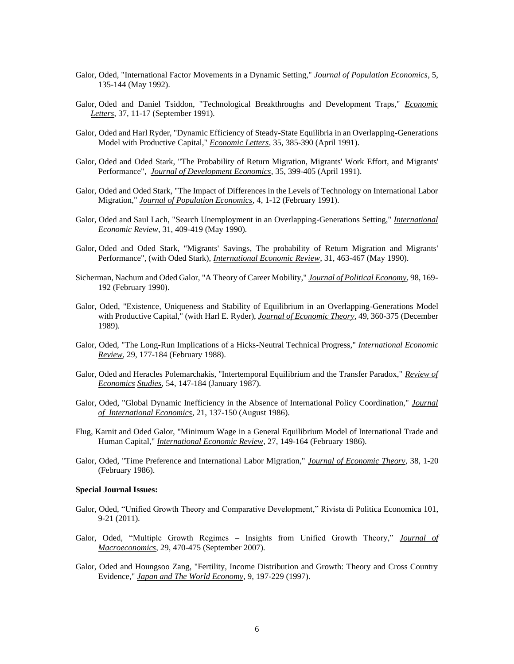- Galor, Oded, "International Factor Movements in a Dynamic Setting," *Journal of Population Economics*, 5, 135-144 (May 1992).
- Galor, Oded and Daniel Tsiddon, "Technological Breakthroughs and Development Traps," *Economic Letters*, 37, 11-17 (September 1991).
- Galor, Oded and Harl Ryder, "Dynamic Efficiency of Steady-State Equilibria in an Overlapping-Generations Model with Productive Capital," *Economic Letters*, 35, 385-390 (April 1991).
- Galor, Oded and Oded Stark, "The Probability of Return Migration, Migrants' Work Effort, and Migrants' Performance", *Journal of Development Economics*, 35, 399-405 (April 1991).
- Galor, Oded and Oded Stark, "The Impact of Differences in the Levels of Technology on International Labor Migration," *Journal of Population Economics*, 4, 1-12 (February 1991).
- Galor, Oded and Saul Lach, "Search Unemployment in an Overlapping-Generations Setting," *International Economic Review*, 31, 409-419 (May 1990).
- Galor, Oded and Oded Stark, "Migrants' Savings, The probability of Return Migration and Migrants' Performance", (with Oded Stark), *International Economic Review*, 31, 463-467 (May 1990).
- Sicherman, Nachum and Oded Galor, "A Theory of Career Mobility," *Journal of Political Economy*, 98, 169- 192 (February 1990).
- Galor, Oded, "Existence, Uniqueness and Stability of Equilibrium in an Overlapping-Generations Model with Productive Capital," (with Harl E. Ryder), *Journal of Economic Theory*, 49, 360-375 (December 1989).
- Galor, Oded, "The Long-Run Implications of a Hicks-Neutral Technical Progress," *International Economic Review*, 29, 177-184 (February 1988).
- Galor, Oded and Heracles Polemarchakis, "Intertemporal Equilibrium and the Transfer Paradox," *Review of Economics Studies*, 54, 147-184 (January 1987).
- Galor, Oded, "Global Dynamic Inefficiency in the Absence of International Policy Coordination," *Journal of International Economics*, 21, 137-150 (August 1986).
- Flug, Karnit and Oded Galor, "Minimum Wage in a General Equilibrium Model of International Trade and Human Capital," *International Economic Review*, 27, 149-164 (February 1986).
- Galor, Oded, "Time Preference and International Labor Migration," *Journal of Economic Theory*, 38, 1-20 (February 1986).

#### **Special Journal Issues:**

- Galor, Oded, "Unified Growth Theory and Comparative Development," Rivista di Politica Economica 101, 9-21 (2011).
- Galor, Oded, "Multiple Growth Regimes Insights from Unified Growth Theory," *Journal of Macroeconomics*, 29, 470-475 (September 2007).
- Galor, Oded and Houngsoo Zang, "Fertility, Income Distribution and Growth: Theory and Cross Country Evidence," *Japan and The World Economy,* 9, 197-229 (1997).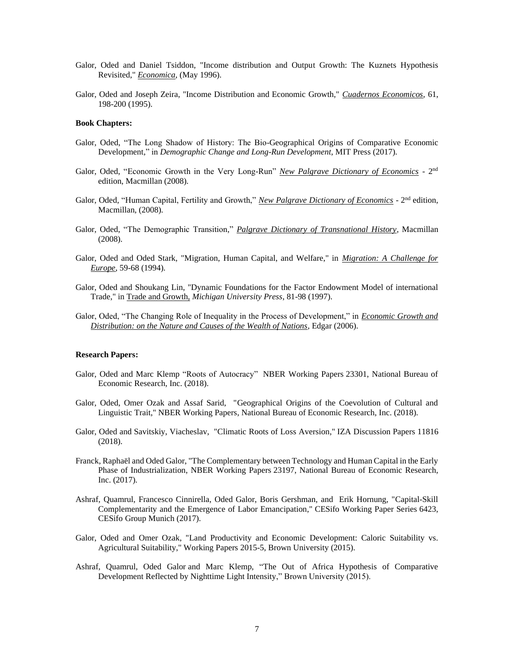- Galor, Oded and Daniel Tsiddon, "Income distribution and Output Growth: The Kuznets Hypothesis Revisited," *Economica*, (May 1996).
- Galor, Oded and Joseph Zeira, "Income Distribution and Economic Growth," *Cuadernos Economicos*, 61, 198-200 (1995).

#### **Book Chapters:**

- Galor, Oded, "The Long Shadow of History: The Bio-Geographical Origins of Comparative Economic Development," in *Demographic Change and Long-Run Development*, MIT Press (2017).
- Galor, Oded, "Economic Growth in the Very Long-Run" *New Palgrave Dictionary of Economics* 2<sup>nd</sup> edition, Macmillan (2008).
- Galor, Oded, "Human Capital, Fertility and Growth," New Palgrave Dictionary of Economics 2<sup>nd</sup> edition, Macmillan, (2008).
- Galor, Oded, "The Demographic Transition," *Palgrave Dictionary of Transnational History*, Macmillan (2008).
- Galor, Oded and Oded Stark, "Migration, Human Capital, and Welfare," in *Migration: A Challenge for Europe*, 59-68 (1994).
- Galor, Oded and Shoukang Lin, "Dynamic Foundations for the Factor Endowment Model of international Trade," in Trade and Growth, *Michigan University Press*, 81-98 (1997).
- Galor, Oded, "The Changing Role of Inequality in the Process of Development," in *Economic Growth and Distribution: on the Nature and Causes of the Wealth of Nations,* Edgar (2006).

## **Research Papers:**

- Galor, Oded and Marc Klemp "Roots of Autocracy" [NBER Working Papers](https://ideas.repec.org/s/nbr/nberwo.html) 23301, National Bureau of Economic Research, Inc. (2018).
- Galor, Oded, Omer Ozak and Assaf Sarid, ["Geographical Origins of the Coevolution of Cultural and](https://ideas.repec.org/p/bro/econwp/2018-5.html)  [Linguistic Trait,](https://ideas.repec.org/p/bro/econwp/2018-5.html)" NBE[R Working Papers,](https://ideas.repec.org/s/bro/econwp.html) National Bureau of Economic Research, Inc. (2018).
- Galor, Oded and Savitskiy, Viacheslav, ["Climatic Roots of Loss Aversion,](https://ideas.repec.org/p/iza/izadps/dp11816.html)" [IZA Discussion Papers](https://ideas.repec.org/s/iza/izadps.html) 11816 (2018).
- Franck, Raphaël and Oded Galor, ["The Complementary between Technology and Human Capital in the Early](https://ideas.repec.org/p/bro/econwp/2015-3.html)  [Phase of Industrialization,](https://ideas.repec.org/p/bro/econwp/2015-3.html) [NBER Working Papers](https://ideas.repec.org/s/nbr/nberwo.html) 23197, National Bureau of Economic Research, Inc. (2017).
- Ashraf, Quamrul, Francesco Cinnirella, Oded Galor, Boris Gershman, and Erik Hornung, ["Capital-Skill](https://ideas.repec.org/p/ces/ceswps/_6423.html)  Complementarity and the [Emergence of Labor Emancipation,](https://ideas.repec.org/p/ces/ceswps/_6423.html)" [CESifo Working Paper Series](https://ideas.repec.org/s/ces/ceswps.html) 6423, CESifo Group Munich (2017).
- Galor, Oded and Omer Ozak, ["Land Productivity and Economic Development: Caloric Suitability vs.](https://ideas.repec.org/p/bro/econwp/2015-5.html)  [Agricultural Suitability,](https://ideas.repec.org/p/bro/econwp/2015-5.html)" [Working Papers](https://ideas.repec.org/s/bro/econwp.html) 2015-5, Brown University (2015).
- Ashraf, Quamrul, Oded Galor and Marc Klemp, "The Out of Africa Hypothesis of Comparative Development Reflected by Nighttime Light Intensity," Brown University (2015).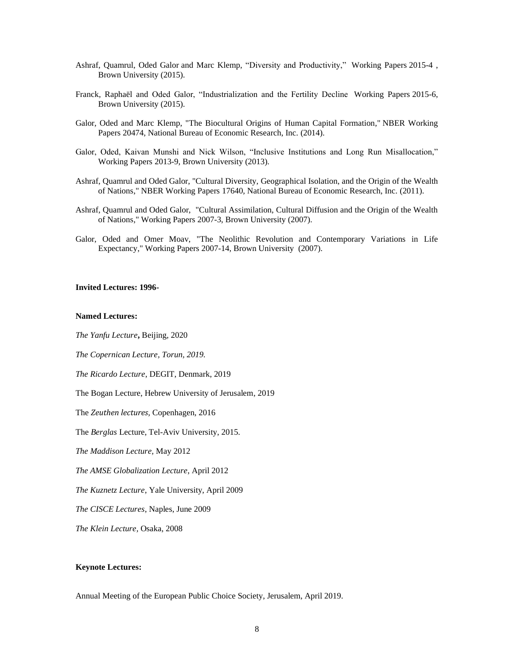- Ashraf, Quamrul, Oded Galor and Marc Klemp, "Diversity and Productivity," [Working Papers](https://ideas.repec.org/s/bro/econwp.html) 2015-4 , Brown University (2015).
- Franck, Raphaël and Oded Galor, "Industrialization and the Fertility Decline [Working Papers](https://ideas.repec.org/s/bro/econwp.html) 2015-6, Brown University (2015).
- Galor, Oded and Marc Klemp, ["The Biocultural Origins of Human Capital Formation,](https://ideas.repec.org/p/nbr/nberwo/20474.html)" [NBER Working](https://ideas.repec.org/s/nbr/nberwo.html)  [Papers](https://ideas.repec.org/s/nbr/nberwo.html) 20474, National Bureau of Economic Research, Inc. (2014).
- Galor, Oded, Kaivan Munshi and Nick Wilson, "Inclusive Institutions and Long Run Misallocation," [Working Papers](https://ideas.repec.org/s/bro/econwp.html) 2013-9, Brown University (2013).
- Ashraf, Quamrul and Oded Galor, ["Cultural Diversity, Geographical Isolation, and the Origin of the Wealth](https://ideas.repec.org/p/nbr/nberwo/17640.html)  [of Nations,](https://ideas.repec.org/p/nbr/nberwo/17640.html)" NBER [Working Papers](https://ideas.repec.org/s/nbr/nberwo.html) 17640, National Bureau of Economic Research, Inc. (2011).
- Ashraf, Quamrul and Oded Galor, ["Cultural Assimilation, Cultural Diffusion and the Origin of the Wealth](https://ideas.repec.org/p/bro/econwp/2007-3.html)  [of Nations,](https://ideas.repec.org/p/bro/econwp/2007-3.html)" [Working Papers](https://ideas.repec.org/s/bro/econwp.html) 2007-3, Brown University (2007).
- Galor, Oded and Omer Moav, ["The Neolithic Revolution and Contemporary Variations in Life](https://ideas.repec.org/p/bro/econwp/2007-14.html)  [Expectancy,](https://ideas.repec.org/p/bro/econwp/2007-14.html)" [Working Papers](https://ideas.repec.org/s/bro/econwp.html) 2007-14, Brown University (2007).

## **Invited Lectures: 1996-**

#### **Named Lectures:**

*The Yanfu Lecture***,** Beijing, 2020

*The Copernican Lecture, Torun, 2019.*

*The Ricardo Lecture*, DEGIT, Denmark, 2019

The Bogan Lecture, Hebrew University of Jerusalem, 2019

The *Zeuthen lectures*, Copenhagen, 2016

The *Berglas* Lecture, Tel-Aviv University, 2015.

*The Maddison Lecture,* May 2012

*The AMSE Globalization Lecture*, April 2012

*The Kuznetz Lecture*, Yale University, April 2009

*The CISCE Lectures*, Naples, June 2009

*The Klein Lecture,* Osaka, 2008

## **Keynote Lectures:**

Annual Meeting of the European Public Choice Society, Jerusalem, April 2019.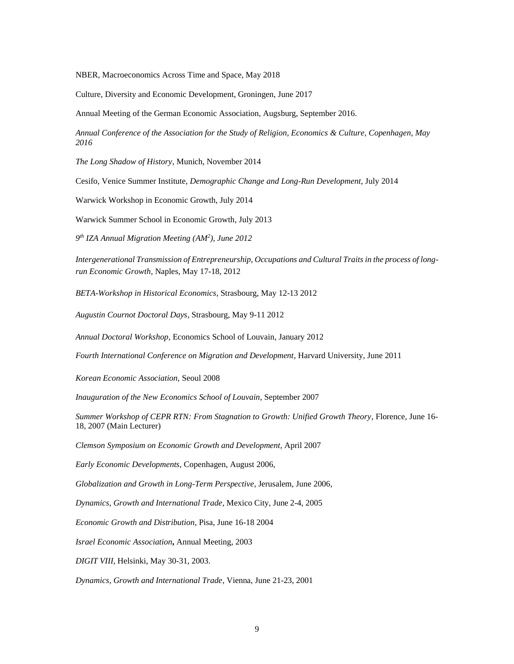NBER, Macroeconomics Across Time and Space, May 2018

Culture, Diversity and Economic Development, Groningen, June 2017

Annual Meeting of the German Economic Association, Augsburg, September 2016.

*Annual Conference of the Association for the Study of Religion, Economics & Culture, Copenhagen, May 2016*

*The Long Shadow of History*, Munich, November 2014

Cesifo, Venice Summer Institute, *Demographic Change and Long-Run Development*, July 2014

Warwick Workshop in Economic Growth, July 2014

Warwick Summer School in Economic Growth, July 2013

*9 th IZA Annual Migration Meeting (AM<sup>2</sup> ), June 2012* 

*Intergenerational Transmission of Entrepreneurship, Occupations and Cultural Traits in the process of longrun Economic Growth*, Naples, May 17-18, 2012

*BETA-Workshop in Historical Economics,* Strasbourg, May 12-13 2012

*Augustin Cournot Doctoral Days,* Strasbourg, May 9-11 2012

*Annual Doctoral Workshop*, Economics School of Louvain, January 2012

*Fourth International Conference on Migration and Development*, Harvard University, June 2011

*Korean Economic Association,* Seoul 2008

*Inauguration of the New Economics School of Louvain*, September 2007

*Summer Workshop of CEPR RTN: From Stagnation to Growth: Unified Growth Theory*, Florence, June 16- 18, 2007 (Main Lecturer)

*Clemson Symposium on Economic Growth and Development,* April 2007

*Early Economic Developments*, Copenhagen, August 2006*,* 

*Globalization and Growth in Long-Term Perspective*, Jerusalem, June 2006*,* 

*Dynamics, Growth and International Trade*, Mexico City, June 2-4, 2005

*Economic Growth and Distribution*, Pisa, June 16-18 2004

*Israel Economic Association***,** Annual Meeting, 2003

*DIGIT VIII*, Helsinki, May 30-31, 2003.

*Dynamics, Growth and International Trade*, Vienna, June 21-23, 2001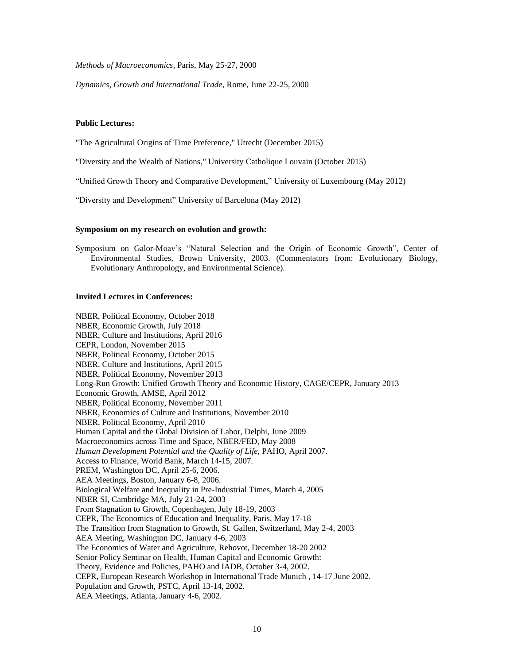*Methods of Macroeconomics*, Paris, May 25-27, 2000

*Dynamics, Growth and International Trade*, Rome, June 22-25, 2000

#### **Public Lectures:**

"The Agricultural Origins of Time Preference," Utrecht (December 2015)

"Diversity and the Wealth of Nations," University Catholique Louvain (October 2015)

"Unified Growth Theory and Comparative Development," University of Luxembourg (May 2012)

"Diversity and Development" University of Barcelona (May 2012)

#### **Symposium on my research on evolution and growth:**

Symposium on Galor-Moav's "Natural Selection and the Origin of Economic Growth", Center of Environmental Studies, Brown University, 2003. (Commentators from: Evolutionary Biology, Evolutionary Anthropology, and Environmental Science).

#### **Invited Lectures in Conferences:**

NBER, Political Economy, October 2018 NBER, Economic Growth, July 2018 NBER, Culture and Institutions, April 2016 CEPR, London, November 2015 NBER, Political Economy, October 2015 NBER, Culture and Institutions, April 2015 NBER, Political Economy, November 2013 Long-Run Growth: Unified Growth Theory and Economic History, CAGE/CEPR, January 2013 Economic Growth, AMSE, April 2012 NBER, Political Economy, November 2011 NBER, Economics of Culture and Institutions, November 2010 NBER, Political Economy, April 2010 Human Capital and the Global Division of Labor, Delphi, June 2009 Macroeconomics across Time and Space, NBER/FED, May 2008 *Human Development Potential and the Quality of Life*, PAHO, April 2007. Access to Finance, World Bank, March 14-15, 2007. PREM, Washington DC, April 25-6, 2006. AEA Meetings, Boston, January 6-8, 2006. Biological Welfare and Inequality in Pre-Industrial Times, March 4, 2005 NBER SI, Cambridge MA, July 21-24, 2003 From Stagnation to Growth, Copenhagen, July 18-19, 2003 CEPR, The Economics of Education and Inequality*,* Paris, May 17-18 The Transition from Stagnation to Growth, St. Gallen, Switzerland, May 2-4, 2003 AEA Meeting, Washington DC, January 4-6, 2003 The Economics of Water and Agriculture, Rehovot, December 18-20 2002 Senior Policy Seminar on Health, Human Capital and Economic Growth: Theory, Evidence and Policies, PAHO and IADB, October 3-4, 2002. CEPR, European Research Workshop in International Trade Munich , 14-17 June 2002. Population and Growth, PSTC, April 13-14, 2002. AEA Meetings, Atlanta, January 4-6, 2002.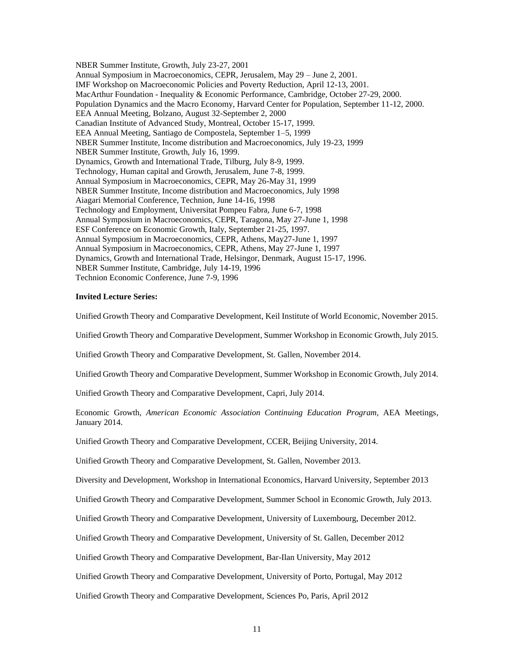NBER Summer Institute, Growth, July 23-27, 2001 Annual Symposium in Macroeconomics, CEPR, Jerusalem, May 29 – June 2, 2001. IMF Workshop on Macroeconomic Policies and Poverty Reduction, April 12-13, 2001. MacArthur Foundation - Inequality & Economic Performance, Cambridge, October 27-29, 2000. Population Dynamics and the Macro Economy, Harvard Center for Population, September 11-12, 2000. EEA Annual Meeting, Bolzano, August 32-September 2, 2000 Canadian Institute of Advanced Study, Montreal, October 15-17, 1999. EEA Annual Meeting, Santiago de Compostela, September 1–5, 1999 NBER Summer Institute, Income distribution and Macroeconomics, July 19-23, 1999 NBER Summer Institute, Growth, July 16, 1999. Dynamics, Growth and International Trade, Tilburg, July 8-9, 1999. Technology, Human capital and Growth, Jerusalem, June 7-8, 1999. Annual Symposium in Macroeconomics, CEPR, May 26-May 31, 1999 NBER Summer Institute, Income distribution and Macroeconomics, July 1998 Aiagari Memorial Conference, Technion, June 14-16, 1998 Technology and Employment, Universitat Pompeu Fabra, June 6-7, 1998 Annual Symposium in Macroeconomics, CEPR, Taragona, May 27-June 1, 1998 ESF Conference on Economic Growth, Italy, September 21-25, 1997. Annual Symposium in Macroeconomics, CEPR, Athens, May27-June 1, 1997 Annual Symposium in Macroeconomics, CEPR, Athens, May 27-June 1, 1997 Dynamics, Growth and International Trade, Helsingor, Denmark, August 15-17, 1996. NBER Summer Institute, Cambridge, July 14-19, 1996 Technion Economic Conference, June 7-9, 1996

#### **Invited Lecture Series:**

Unified Growth Theory and Comparative Development, Keil Institute of World Economic, November 2015.

Unified Growth Theory and Comparative Development, Summer Workshop in Economic Growth, July 2015.

Unified Growth Theory and Comparative Development, St. Gallen, November 2014.

Unified Growth Theory and Comparative Development, Summer Workshop in Economic Growth, July 2014.

Unified Growth Theory and Comparative Development, Capri, July 2014.

Economic Growth, *American Economic Association Continuing Education Program*, AEA Meetings, January 2014.

Unified Growth Theory and Comparative Development, CCER, Beijing University, 2014.

Unified Growth Theory and Comparative Development, St. Gallen, November 2013.

Diversity and Development, Workshop in International Economics, Harvard University, September 2013

Unified Growth Theory and Comparative Development, Summer School in Economic Growth, July 2013.

Unified Growth Theory and Comparative Development, University of Luxembourg, December 2012.

Unified Growth Theory and Comparative Development, University of St. Gallen, December 2012

Unified Growth Theory and Comparative Development, Bar-Ilan University, May 2012

Unified Growth Theory and Comparative Development, University of Porto, Portugal, May 2012

Unified Growth Theory and Comparative Development, Sciences Po, Paris, April 2012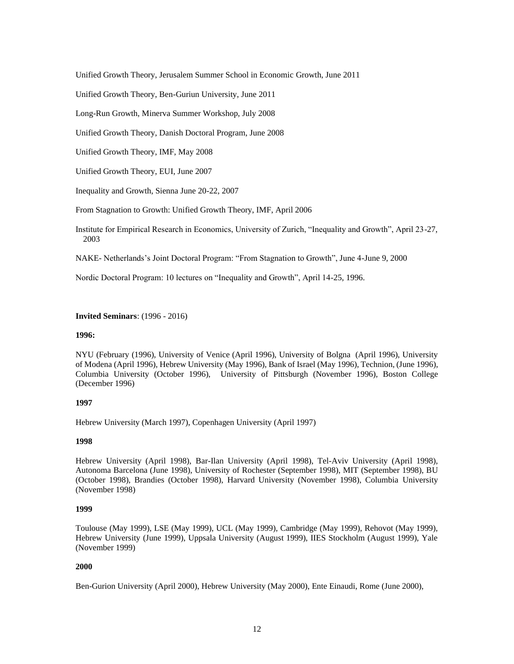Unified Growth Theory, Jerusalem Summer School in Economic Growth, June 2011

Unified Growth Theory, Ben-Guriun University, June 2011

Long-Run Growth, Minerva Summer Workshop, July 2008

Unified Growth Theory, Danish Doctoral Program, June 2008

Unified Growth Theory, IMF, May 2008

Unified Growth Theory, EUI, June 2007

Inequality and Growth, Sienna June 20-22, 2007

From Stagnation to Growth: Unified Growth Theory, IMF, April 2006

Institute for Empirical Research in Economics, University of Zurich, "Inequality and Growth", April 23-27, 2003

NAKE- Netherlands's Joint Doctoral Program: "From Stagnation to Growth", June 4-June 9, 2000

Nordic Doctoral Program: 10 lectures on "Inequality and Growth", April 14-25, 1996.

### **Invited Seminars**: (1996 - 2016)

### **1996:**

NYU (February (1996), University of Venice (April 1996), University of Bolgna (April 1996), University of Modena (April 1996), Hebrew University (May 1996), Bank of Israel (May 1996), Technion, (June 1996), Columbia University (October 1996), University of Pittsburgh (November 1996), Boston College (December 1996)

### **1997**

Hebrew University (March 1997), Copenhagen University (April 1997)

### **1998**

Hebrew University (April 1998), Bar-Ilan University (April 1998), Tel-Aviv University (April 1998), Autonoma Barcelona (June 1998), University of Rochester (September 1998), MIT (September 1998), BU (October 1998), Brandies (October 1998), Harvard University (November 1998), Columbia University (November 1998)

## **1999**

Toulouse (May 1999), LSE (May 1999), UCL (May 1999), Cambridge (May 1999), Rehovot (May 1999), Hebrew University (June 1999), Uppsala University (August 1999), IIES Stockholm (August 1999), Yale (November 1999)

## **2000**

Ben-Gurion University (April 2000), Hebrew University (May 2000), Ente Einaudi, Rome (June 2000),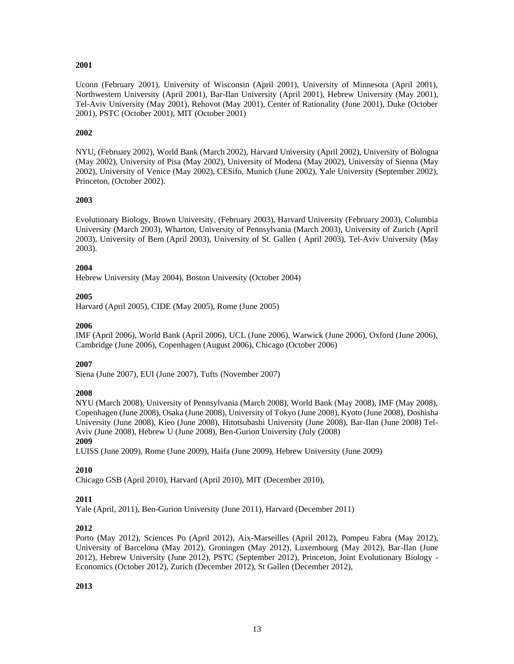## **2001**

Uconn (February 2001), University of Wisconsin (April 2001), University of Minnesota (April 2001), Northwestern University (April 2001), Bar-Ilan University (April 2001), Hebrew University (May 2001), Tel-Aviv University (May 2001), Rehovot (May 2001), Center of Rationality (June 2001), Duke (October 2001), PSTC (October 2001), MIT (October 2001)

# **2002**

NYU, (February 2002), World Bank (March 2002), Harvard University (April 2002), University of Bologna (May 2002), University of Pisa (May 2002), University of Modena (May 2002), University of Sienna (May 2002), University of Venice (May 2002), CESifo, Munich (June 2002), Yale University (September 2002), Princeton, (October 2002).

## **2003**

Evolutionary Biology, Brown University, (February 2003), Harvard University (February 2003), Columbia University (March 2003), Wharton, University of Pennsylvania (March 2003), University of Zurich (April 2003), University of Bern (April 2003), University of St. Gallen ( April 2003), Tel-Aviv University (May 2003).

## **2004**

Hebrew University (May 2004), Boston University (October 2004)

# **2005**

Harvard (April 2005), CIDE (May 2005), Rome (June 2005)

# **2006**

IMF (April 2006), World Bank (April 2006), UCL (June 2006), Warwick (June 2006), Oxford (June 2006), Cambridge (June 2006), Copenhagen (August 2006), Chicago (October 2006)

# **2007**

Siena (June 2007), EUI (June 2007), Tufts (November 2007)

# **2008**

NYU (March 2008), University of Pennsylvania (March 2008), World Bank (May 2008), IMF (May 2008), Copenhagen (June 2008), Osaka (June 2008), University of Tokyo (June 2008), Kyoto (June 2008), Doshisha University (June 2008), Kieo (June 2008), Hitotsubashi University (June 2008), Bar-Ilan (June 2008) Tel-Aviv (June 2008), Hebrew U (June 2008), Ben-Gurion University (July (2008) **2009**

# LUISS (June 2009), Rome (June 2009), Haifa (June 2009), Hebrew University (June 2009)

# **2010**

Chicago GSB (April 2010), Harvard (April 2010), MIT (December 2010),

# **2011**

Yale (April, 2011), Ben-Gurion University (June 2011), Harvard (December 2011)

# **2012**

Porto (May 2012), Sciences Po (April 2012), Aix-Marseilles (April 2012), Pompeu Fabra (May 2012), University of Barcelona (May 2012), Groningen (May 2012), Luxembourg (May 2012), Bar-Ilan (June 2012), Hebrew University (June 2012), PSTC (September 2012), Princeton, Joint Evolutionary Biology - Economics (October 2012), Zurich (December 2012), St Gallen (December 2012),

## **2013**